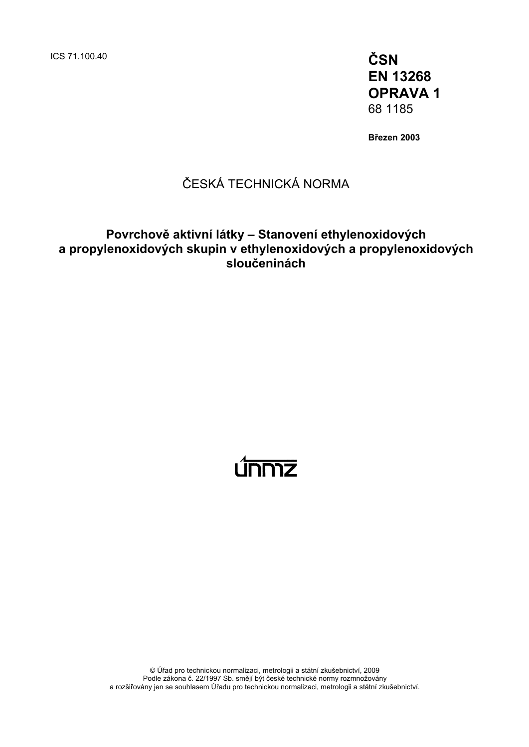ICS 71.100.40 **ČSN** 

**EN 13268 OPRAVA 1**  68 1185

**Březen 2003** 

# ČESKÁ TECHNICKÁ NORMA

# **Povrchově aktivní látky – Stanovení ethylenoxidových a propylenoxidových skupin v ethylenoxidových a propylenoxidových sloučeninách**

# ummz

© Úřad pro technickou normalizaci, metrologii a státní zkušebnictví, 2009 Podle zákona č. 22/1997 Sb. smějí být české technické normy rozmnožovány a rozšiřovány jen se souhlasem Úřadu pro technickou normalizaci, metrologii a státní zkušebnictví.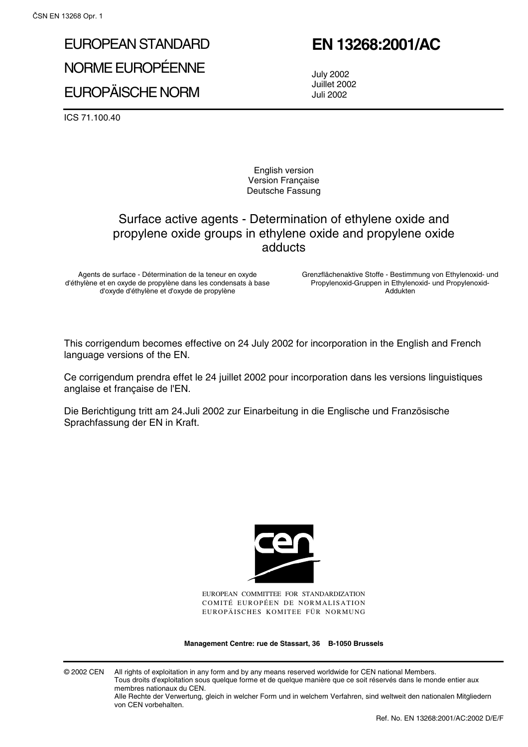# EUROPEAN STANDARD NORME EUROPÉENNE EUROPÄISCHE NORM

ICS 71.100.40

# **EN 13268:2001/AC**

July 2002 Juillet 2002 Juli 2002

English version Version Française Deutsche Fassung

# Surface active agents - Determination of ethylene oxide and propylene oxide groups in ethylene oxide and propylene oxide adducts

Agents de surface - Détermination de la teneur en oxyde d'éthylène et en oxyde de propylène dans les condensats à base d'oxyde d'éthylène et d'oxyde de propylène

Grenzflächenaktive Stoffe - Bestimmung von Ethylenoxid- und Propylenoxid-Gruppen in Ethylenoxid- und Propylenoxid-Addukten

This corrigendum becomes effective on 24 July 2002 for incorporation in the English and French language versions of the EN.

Ce corrigendum prendra effet le 24 juillet 2002 pour incorporation dans les versions linguistiques anglaise et française de l'EN.

Die Berichtigung tritt am 24.Juli 2002 zur Einarbeitung in die Englische und Französische Sprachfassung der EN in Kraft.



EUROPEAN COMMITTEE FOR STANDARDIZATION COMITÉ EUROPÉEN DE NORMALISATION EUROPÄISCHES KOMITEE FÜR NORMUNG

**Management Centre: rue de Stassart, 36 B-1050 Brussels**

© 2002 CEN All rights of exploitation in any form and by any means reserved worldwide for CEN national Members. Tous droits d'exploitation sous quelque forme et de quelque manière que ce soit réservés dans le monde entier aux membres nationaux du CEN.

Alle Rechte der Verwertung, gleich in welcher Form und in welchem Verfahren, sind weltweit den nationalen Mitgliedern von CEN vorbehalten.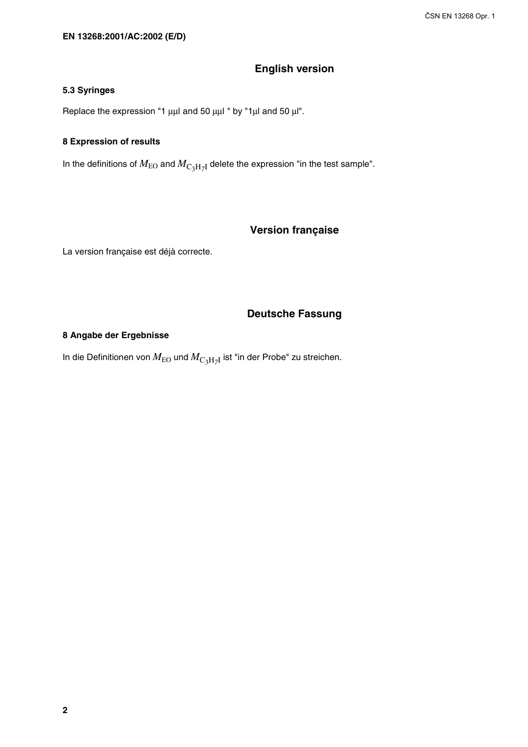## **English version**

#### **5.3 Syringes**

Replace the expression "1 μμl and 50 μμl " by "1μl and 50 μl".

#### **8 Expression of results**

In the definitions of  $M_{\text{EO}}$  and  $M_{\text{C}_3\text{H}_7\text{I}}$  delete the expression "in the test sample".

## **Version française**

La version française est déjà correcte.

#### **Deutsche Fassung**

#### **8 Angabe der Ergebnisse**

In die Definitionen von  $M_{\text{EO}}$  und  $M_{\text{C}_3\text{H}_7\text{I}}$  ist "in der Probe" zu streichen.